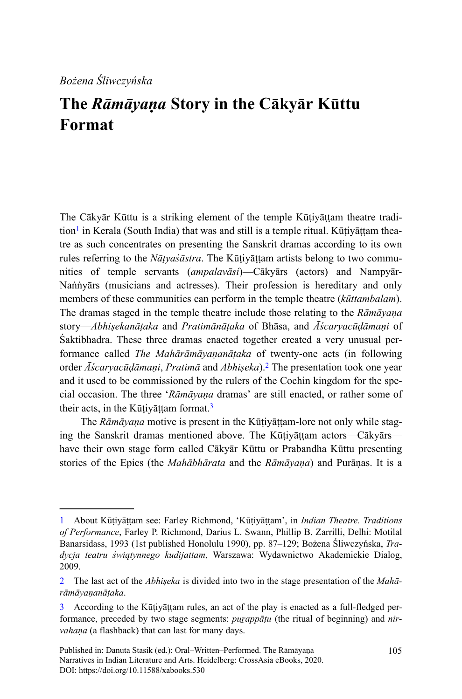## **The** *Rāmāyaṇa* **Story in the Cākyār Kūttu Format**

The Cākyār Kūttu is a striking element of the temple Kūṭiyāṭṭam theatre tradition<sup>1</sup> in Kerala (South India) that was and still is a temple ritual. Kūṭiyāṭṭam theatre as such concentrates on presenting the Sanskrit dramas according to its own rules referring to the *Nāṭyaśāstra*. The Kūṭiyāṭṭam artists belong to two communities of temple servants (*ampalavāsi*)—Cākyārs (actors) and Nampyār-Naṅṅyārs (musicians and actresses). Their profession is hereditary and only members of these communities can perform in the temple theatre (*kūttambalam*). The dramas staged in the temple theatre include those relating to the *Rāmāyaṇa* story—*Abhiṣekanāṭaka* and *Pratimānāṭaka* of Bhāsa, and *Āścaryacūḍāmaṇi* of Śaktibhadra. These three dramas enacted together created a very unusual performance called *The Mahārāmāyaṇanāṭaka* of twenty-one acts (in following order *Āścaryacūḍāmaṇi*, *Pratimā* and *Abhiṣeka*).<sup>2</sup> The presentation took one year and it used to be commissioned by the rulers of the Cochin kingdom for the special occasion. The three '*Rāmāyaṇa* dramas' are still enacted, or rather some of their acts, in the Kūṭiyāṭṭam format.<sup>3</sup>

The *Rāmāyaṇa* motive is present in the Kūṭiyāṭṭam-lore not only while staging the Sanskrit dramas mentioned above. The Kūṭiyāṭṭam actors—Cākyārs have their own stage form called Cākyār Kūttu or Prabandha Kūttu presenting stories of the Epics (the *Mahābhārata* and the *Rāmāyaṇa*) and Purāṇas. It is a

<sup>1</sup> About Kūṭiyāṭṭam see: Farley Richmond, 'Kūṭiyāṭṭam', in *Indian Theatre. Traditions of Performance*, Farley P. Richmond, Darius L. Swann, Phillip B. Zarrilli, Delhi: Motilal Banarsidass, 1993 (1st published Honolulu 1990), pp. 87–129; Bożena Śliwczyńska, *Tradycja teatru świątynnego kudijattam*, Warszawa: Wydawnictwo Akademickie Dialog, 2009.

<sup>2</sup> The last act of the *Abhiṣeka* is divided into two in the stage presentation of the *Mahārāmāyaṇanāṭaka*.

<sup>3</sup> According to the Kūṭiyāṭṭam rules, an act of the play is enacted as a full-fledged performance, preceded by two stage segments: *puṟappāṭu* (the ritual of beginning) and *nirvahaṇa* (a flashback) that can last for many days.

Published in: Danuta Stasik (ed.): Oral–Written–Performed. The Rāmāyaṇa Narratives in Indian Literature and Arts. Heidelberg: CrossAsia eBooks, 2020. DOI:<https://doi.org/10.11588/xabooks.530>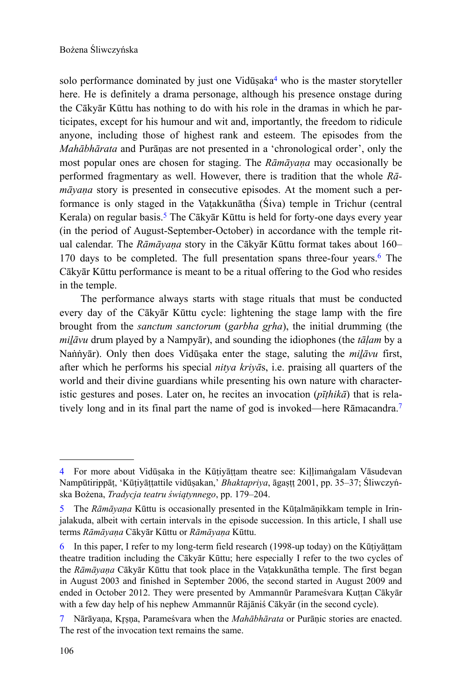solo performance dominated by just one Vidūṣaka<sup>4</sup> who is the master storyteller here. He is definitely a drama personage, although his presence onstage during the Cākyār Kūttu has nothing to do with his role in the dramas in which he participates, except for his humour and wit and, importantly, the freedom to ridicule anyone, including those of highest rank and esteem. The episodes from the *Mahābhārata* and Purāṇas are not presented in a 'chronological order', only the most popular ones are chosen for staging. The *Rāmāyaṇa* may occasionally be performed fragmentary as well. However, there is tradition that the whole *Rāmāyaṇa* story is presented in consecutive episodes. At the moment such a performance is only staged in the Vaṭakkunātha (Śiva) temple in Trichur (central Kerala) on regular basis.<sup>5</sup> The Cākyār Kūttu is held for forty-one days every year (in the period of August-September-October) in accordance with the temple ritual calendar. The *Rāmāyaṇa* story in the Cākyār Kūttu format takes about 160– 170 days to be completed. The full presentation spans three-four years.<sup>6</sup> The Cākyār Kūttu performance is meant to be a ritual offering to the God who resides in the temple.

The performance always starts with stage rituals that must be conducted every day of the Cākyār Kūttu cycle: lightening the stage lamp with the fire brought from the *sanctum sanctorum* (*garbha grha*), the initial drumming (the *miḻāvu* drum played by a Nampyār), and sounding the idiophones (the *tāḷam* by a Naṅṅyār). Only then does Vidūṣaka enter the stage, saluting the *miḻāvu* first, after which he performs his special *nitya kriyā*s, i.e. praising all quarters of the world and their divine guardians while presenting his own nature with characteristic gestures and poses. Later on, he recites an invocation (*pīṭhikā*) that is relatively long and in its final part the name of god is invoked—here Rāmacandra.<sup>7</sup>

<sup>4</sup> For more about Vidūṣaka in the Kūṭiyāṭṭam theatre see: Kiḷḷimaṅgalam Vāsudevan Nampūtirippāṭ, 'Kūṭiyāṭṭattile vidūṣakan,' *Bhaktapriya*, āgaṣṭṭ 2001, pp. 35–37; Śliwczyńska Bożena, *Tradycja teatru świątynnego*, pp. 179–204.

<sup>5</sup> The *Rāmāyaṇa* Kūttu is occasionally presented in the Kūṭalmāṇikkam temple in Irinjalakuda, albeit with certain intervals in the episode succession. In this article, I shall use terms *Rāmāyaṇa* Cākyār Kūttu or *Rāmāyaṇa* Kūttu.

<sup>6</sup> In this paper, I refer to my long-term field research (1998-up today) on the Kūṭiyāṭṭam theatre tradition including the Cākyār Kūttu; here especially I refer to the two cycles of the *Rāmāyaṇa* Cākyār Kūttu that took place in the Vaṭakkunātha temple. The first began in August 2003 and finished in September 2006, the second started in August 2009 and ended in October 2012. They were presented by Ammannūr Parameśvara Kuṭṭan Cākyār with a few day help of his nephew Ammannūr Rājāniś Cākyār (in the second cycle).

<sup>7</sup> Nārāyana, Krsna, Parameśvara when the *Mahābhārata* or Purānic stories are enacted. The rest of the invocation text remains the same.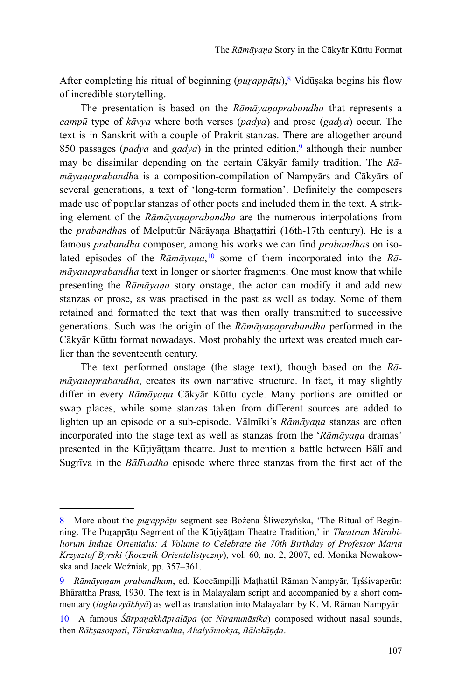After completing his ritual of beginning (*puṟappāṭu*),<sup>8</sup> Vidūṣaka begins his flow of incredible storytelling.

The presentation is based on the *Rāmāyaṇaprabandha* that represents a *campū* type of *kāvya* where both verses (*padya*) and prose (*gadya*) occur. The text is in Sanskrit with a couple of Prakrit stanzas. There are altogether around 850 passages (*padya* and *gadya*) in the printed edition,<sup>9</sup> although their number may be dissimilar depending on the certain Cākyār family tradition. The *Rāmāyaṇaprabandh*a is a composition-compilation of Nampyārs and Cākyārs of several generations, a text of 'long-term formation'. Definitely the composers made use of popular stanzas of other poets and included them in the text. A striking element of the *Rāmāyaṇaprabandha* are the numerous interpolations from the *prabandha*s of Melputtūr Nārāyaṇa Bhaṭṭattiri (16th-17th century). He is a famous *prabandha* composer, among his works we can find *prabandha*s on isolated episodes of the *Rāmāyaṇa*, 10 some of them incorporated into the *Rāmāyaṇaprabandha* text in longer or shorter fragments. One must know that while presenting the *Rāmāyaṇa* story onstage, the actor can modify it and add new stanzas or prose, as was practised in the past as well as today. Some of them retained and formatted the text that was then orally transmitted to successive generations. Such was the origin of the *Rāmāyaṇaprabandha* performed in the Cākyār Kūttu format nowadays. Most probably the urtext was created much earlier than the seventeenth century.

The text performed onstage (the stage text), though based on the *Rāmāyaṇaprabandha*, creates its own narrative structure. In fact, it may slightly differ in every *Rāmāyaṇa* Cākyār Kūttu cycle. Many portions are omitted or swap places, while some stanzas taken from different sources are added to lighten up an episode or a sub-episode. Vālmīki's *Rāmāyaṇa* stanzas are often incorporated into the stage text as well as stanzas from the '*Rāmāyaṇa* dramas' presented in the Kūṭiyāṭṭam theatre. Just to mention a battle between Bālī and Sugrīva in the *Bālīvadha* episode where three stanzas from the first act of the

<sup>8</sup> More about the *puṟappāṭu* segment see Bożena Śliwczyńska, 'The Ritual of Beginning. The Puṟappāṭu Segment of the Kūṭiyāṭṭam Theatre Tradition,' in *Theatrum Mirabiliorum Indiae Orientalis: A Volume to Celebrate the 70th Birthday of Professor Maria Krzysztof Byrski* (*Rocznik Orientalistyczny*), vol. 60, no. 2, 2007, ed. Monika Nowakowska and Jacek Woźniak, pp. 357–361.

<sup>9</sup> *Rāmāyanam prabandham*, ed. Koccāmpilli Mathattil Rāman Nampyār, Trśśivaperūr: Bhārattha Prass, 1930. The text is in Malayalam script and accompanied by a short commentary (*laghuvyākhyā*) as well as translation into Malayalam by K. M. Rāman Nampyār.

<sup>10</sup> A famous *Śūrpaṇakhāpralāpa* (or *Niranunāsika*) composed without nasal sounds, then *Rākṣasotpati*, *Tārakavadha*, *Ahalyāmokṣa*, *Bālakāṇḍa*.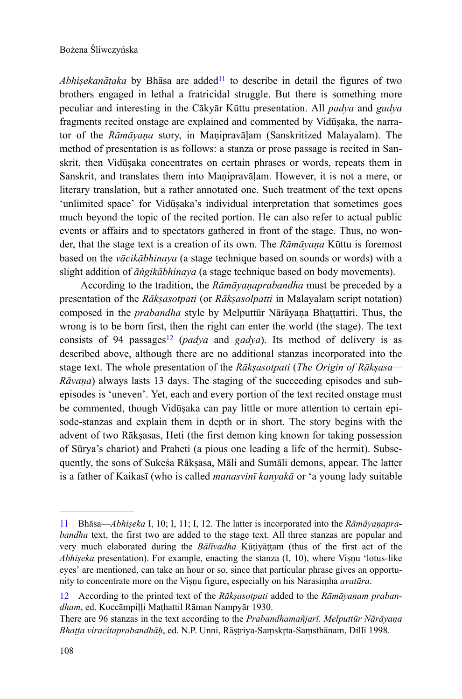*Abhisekanātaka* by Bhāsa are added<sup>11</sup> to describe in detail the figures of two brothers engaged in lethal a fratricidal struggle. But there is something more peculiar and interesting in the Cākyār Kūttu presentation. All *padya* and *gadya* fragments recited onstage are explained and commented by Vidūṣaka, the narrator of the *Rāmāyaṇa* story, in Maṇipravāḷam (Sanskritized Malayalam). The method of presentation is as follows: a stanza or prose passage is recited in Sanskrit, then Vidūṣaka concentrates on certain phrases or words, repeats them in Sanskrit, and translates them into Maṇipravāḷam. However, it is not a mere, or literary translation, but a rather annotated one. Such treatment of the text opens 'unlimited space' for Vidūṣaka's individual interpretation that sometimes goes much beyond the topic of the recited portion. He can also refer to actual public events or affairs and to spectators gathered in front of the stage. Thus, no wonder, that the stage text is a creation of its own. The *Rāmāyaṇa* Kūttu is foremost based on the *vācikābhinaya* (a stage technique based on sounds or words) with a slight addition of *āṅgikābhinaya* (a stage technique based on body movements).

According to the tradition, the *Rāmāyaṇaprabandha* must be preceded by a presentation of the *Rākṣasotpati* (or *Rākṣasolpatti* in Malayalam script notation) composed in the *prabandha* style by Melputtūr Nārāyaṇa Bhaṭṭattiri. Thus, the wrong is to be born first, then the right can enter the world (the stage). The text consists of 94 passages<sup>12</sup> (*padya* and *gadya*). Its method of delivery is as described above, although there are no additional stanzas incorporated into the stage text. The whole presentation of the *Rākṣasotpati* (*The Origin of Rākṣasa— Rāvaṇa*) always lasts 13 days. The staging of the succeeding episodes and subepisodes is 'uneven'. Yet, each and every portion of the text recited onstage must be commented, though Vidūṣaka can pay little or more attention to certain episode-stanzas and explain them in depth or in short. The story begins with the advent of two Rākṣasas, Heti (the first demon king known for taking possession of Sūrya's chariot) and Praheti (a pious one leading a life of the hermit). Subsequently, the sons of Sukeśa Rākṣasa, Māli and Sumāli demons, appear. The latter is a father of Kaikasī (who is called *manasvinī kanyakā* or 'a young lady suitable

<sup>11</sup> Bhāsa—*Abhiṣeka* I, 10; I, 11; I, 12. The latter is incorporated into the *Rāmāyaṇaprabandha* text, the first two are added to the stage text. All three stanzas are popular and very much elaborated during the *Bālīvadha* Kūṭiyāṭṭam (thus of the first act of the *Abhiṣeka* presentation). For example, enacting the stanza (I, 10), where Viṣṇu 'lotus-like eyes' are mentioned, can take an hour or so, since that particular phrase gives an opportunity to concentrate more on the Viṣṇu figure, especially on his Narasiṃha *avatāra*.

<sup>12</sup> According to the printed text of the *Rākṣasotpati* added to the *Rāmāyaṇam prabandham*, ed. Koccāmpiḷḷi Maṭhattil Rāman Nampyār 1930.

There are 96 stanzas in the text according to the *Prabandhamañjarī. Melputtūr Nārāyaṇa Bhaṭṭa viracitaprabandhāḥ*, ed. N.P. Unni, Rāṣṭriya-Saṃskr̥ta-Saṃsthānam, Dillī 1998.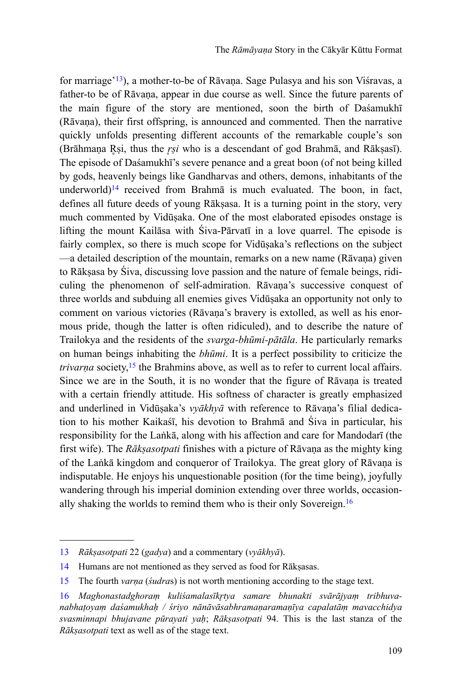for marriage'<sup>13</sup>), a mother-to-be of Rāvaṇa. Sage Pulasya and his son Viśravas, a father-to be of Rāvaṇa, appear in due course as well. Since the future parents of the main figure of the story are mentioned, soon the birth of Daśamukhī (Rāvaṇa), their first offspring, is announced and commented. Then the narrative quickly unfolds presenting different accounts of the remarkable couple's son (Brāhmana Rṣi, thus the *rsi* who is a descendant of god Brahmā, and Rākṣasī). The episode of Daśamukhī's severe penance and a great boon (of not being killed by gods, heavenly beings like Gandharvas and others, demons, inhabitants of the underworld)<sup>14</sup> received from Brahmā is much evaluated. The boon, in fact, defines all future deeds of young Rākṣasa. It is a turning point in the story, very much commented by Vidūṣaka. One of the most elaborated episodes onstage is lifting the mount Kailāsa with Śiva-Pārvatī in a love quarrel. The episode is fairly complex, so there is much scope for Vidūṣaka's reflections on the subject —a detailed description of the mountain, remarks on a new name (Rāvaṇa) given to Rākṣasa by Śiva, discussing love passion and the nature of female beings, ridiculing the phenomenon of self-admiration. Rāvaṇa's successive conquest of three worlds and subduing all enemies gives Vidūṣaka an opportunity not only to comment on various victories (Rāvaṇa's bravery is extolled, as well as his enormous pride, though the latter is often ridiculed), and to describe the nature of Trailokya and the residents of the *svarga-bhūmi-pātāla*. He particularly remarks on human beings inhabiting the *bhūmi*. It is a perfect possibility to criticize the *trivarna* society,<sup>15</sup> the Brahmins above, as well as to refer to current local affairs. Since we are in the South, it is no wonder that the figure of Rāvaṇa is treated with a certain friendly attitude. His softness of character is greatly emphasized and underlined in Vidūṣaka's *vyākhyā* with reference to Rāvaṇa's filial dedication to his mother Kaikaśī, his devotion to Brahmā and Śiva in particular, his responsibility for the Laṅkā, along with his affection and care for Mandodarī (the first wife). The *Rākṣasotpati* finishes with a picture of Rāvaṇa as the mighty king of the Laṅkā kingdom and conqueror of Trailokya. The great glory of Rāvaṇa is indisputable. He enjoys his unquestionable position (for the time being), joyfully wandering through his imperial dominion extending over three worlds, occasionally shaking the worlds to remind them who is their only Sovereign.<sup>16</sup>

<sup>13</sup> *Rākṣasotpati* 22 (*gadya*) and a commentary (*vyākhyā*).

<sup>14</sup> Humans are not mentioned as they served as food for Rākṣasas.

<sup>15</sup> The fourth *varṇa* (*śudra*s) is not worth mentioning according to the stage text.

<sup>16</sup> Maghonastadghoram kuliśamalasīkrtya samare bhunakti svārājyam tribhuva*nabhaṭoyaṃ daśamukhaḥ / śriyo nānāvāsabhramaṇaramaṇīya capalatāṃ mavacchidya svasminnapi bhujavane pūrayati yaḥ*; *Rākṣasotpati* 94. This is the last stanza of the *Rākṣasotpati* text as well as of the stage text.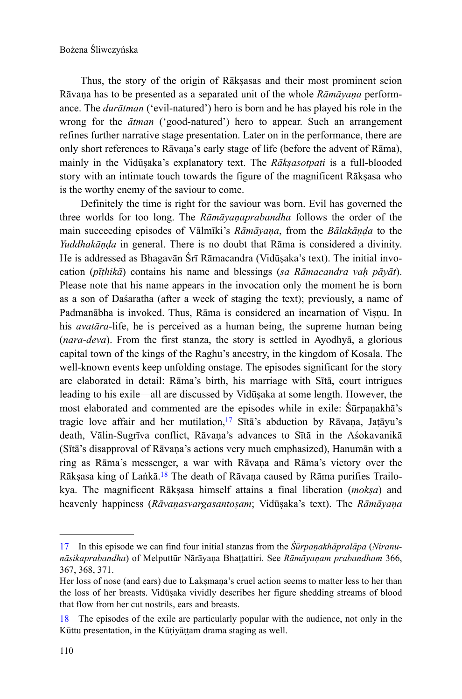Thus, the story of the origin of Rākṣasas and their most prominent scion Rāvaṇa has to be presented as a separated unit of the whole *Rāmāyaṇa* performance. The *durātman* ('evil-natured') hero is born and he has played his role in the wrong for the *ātman* ('good-natured') hero to appear. Such an arrangement refines further narrative stage presentation. Later on in the performance, there are only short references to Rāvaṇa's early stage of life (before the advent of Rāma), mainly in the Vidūṣaka's explanatory text. The *Rākṣasotpati* is a full-blooded story with an intimate touch towards the figure of the magnificent Rākṣasa who is the worthy enemy of the saviour to come.

Definitely the time is right for the saviour was born. Evil has governed the three worlds for too long. The *Rāmāyaṇaprabandha* follows the order of the main succeeding episodes of Vālmīki's *Rāmāyaṇa*, from the *Bālakāṇḍa* to the *Yuddhakāṇḍa* in general. There is no doubt that Rāma is considered a divinity. He is addressed as Bhagavān Śrī Rāmacandra (Vidūṣaka's text). The initial invocation (*pīṭhikā*) contains his name and blessings (*sa Rāmacandra vaḥ pāyāt*). Please note that his name appears in the invocation only the moment he is born as a son of Daśaratha (after a week of staging the text); previously, a name of Padmanābha is invoked. Thus, Rāma is considered an incarnation of Viṣṇu. In his *avatāra*-life, he is perceived as a human being, the supreme human being (*nara-deva*). From the first stanza, the story is settled in Ayodhyā, a glorious capital town of the kings of the Raghu's ancestry, in the kingdom of Kosala. The well-known events keep unfolding onstage. The episodes significant for the story are elaborated in detail: Rāma's birth, his marriage with Sītā, court intrigues leading to his exile—all are discussed by Vidūṣaka at some length. However, the most elaborated and commented are the episodes while in exile: Śūrpaṇakhā's tragic love affair and her mutilation,<sup>17</sup> Sītā's abduction by Rāvaṇa, Jaṭāyu's death, Vālin-Sugrīva conflict, Rāvaṇa's advances to Sītā in the Aśokavanikā (Sītā's disapproval of Rāvaṇa's actions very much emphasized), Hanumān with a ring as Rāma's messenger, a war with Rāvaṇa and Rāma's victory over the Rāksasa king of Laṅkā.<sup>18</sup> The death of Rāvana caused by Rāma purifies Trailokya. The magnificent Rākṣasa himself attains a final liberation (*mokṣa*) and heavenly happiness (*Rāvaṇasvargasantoṣam*; Vidūṣaka's text). The *Rāmāyaṇa*

<sup>17</sup> In this episode we can find four initial stanzas from the *Śūrpaṇakhāpralāpa* (*Niranunāsikaprabandha*) of Melputtūr Nārāyaṇa Bhaṭṭattiri. See *Rāmāyaṇam prabandham* 366, 367, 368, 371.

Her loss of nose (and ears) due to Lakṣmana's cruel action seems to matter less to her than the loss of her breasts. Vidūṣaka vividly describes her figure shedding streams of blood that flow from her cut nostrils, ears and breasts.

<sup>18</sup> The episodes of the exile are particularly popular with the audience, not only in the Kūttu presentation, in the Kūṭiyāṭṭam drama staging as well.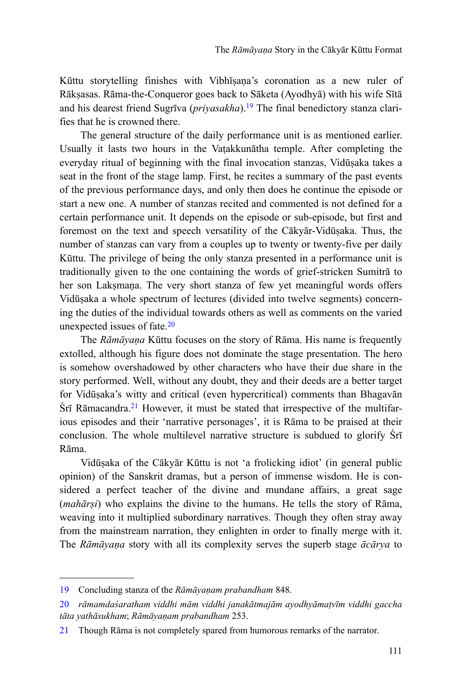Kūttu storytelling finishes with Vibhīṣaṇa's coronation as a new ruler of Rākṣasas. Rāma-the-Conqueror goes back to Sāketa (Ayodhyā) with his wife Sītā and his dearest friend Sugrīva (*priyasakha*).19 The final benedictory stanza clarifies that he is crowned there.

The general structure of the daily performance unit is as mentioned earlier. Usually it lasts two hours in the Vaṭakkunātha temple. After completing the everyday ritual of beginning with the final invocation stanzas, Vidūṣaka takes a seat in the front of the stage lamp. First, he recites a summary of the past events of the previous performance days, and only then does he continue the episode or start a new one. A number of stanzas recited and commented is not defined for a certain performance unit. It depends on the episode or sub-episode, but first and foremost on the text and speech versatility of the Cākyār-Vidūṣaka. Thus, the number of stanzas can vary from a couples up to twenty or twenty-five per daily Kūttu. The privilege of being the only stanza presented in a performance unit is traditionally given to the one containing the words of grief-stricken Sumitrā to her son Laksmana. The very short stanza of few yet meaningful words offers Vidūṣaka a whole spectrum of lectures (divided into twelve segments) concerning the duties of the individual towards others as well as comments on the varied unexpected issues of fate.<sup>20</sup>

The *Rāmāyaṇa* Kūttu focuses on the story of Rāma. His name is frequently extolled, although his figure does not dominate the stage presentation. The hero is somehow overshadowed by other characters who have their due share in the story performed. Well, without any doubt, they and their deeds are a better target for Vidūṣaka's witty and critical (even hypercritical) comments than Bhagavān Śrī Rāmacandra.21 However, it must be stated that irrespective of the multifarious episodes and their 'narrative personages', it is Rāma to be praised at their conclusion. The whole multilevel narrative structure is subdued to glorify Śrī Rāma.

Vidūṣaka of the Cākyār Kūttu is not 'a frolicking idiot' (in general public opinion) of the Sanskrit dramas, but a person of immense wisdom. He is considered a perfect teacher of the divine and mundane affairs, a great sage (*mahārṣi*) who explains the divine to the humans. He tells the story of Rāma, weaving into it multiplied subordinary narratives. Though they often stray away from the mainstream narration, they enlighten in order to finally merge with it. The *Rāmāyaṇa* story with all its complexity serves the superb stage *ācārya* to

<sup>19</sup> Concluding stanza of the *Rāmāyaṇam prabandham* 848.

<sup>20</sup> *rāmamdaśaratham viddhi mām viddhi janakātmajām ayodhyāmaṭvīm viddhi gaccha tāta yathāsukham*; *Rāmāyaṇam prabandham* 253.

<sup>21</sup> Though Rāma is not completely spared from humorous remarks of the narrator.